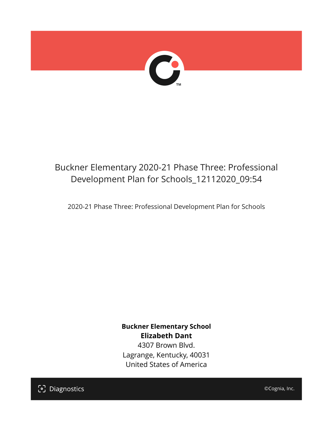

## Buckner Elementary 2020-21 Phase Three: Professional Development Plan for Schools\_12112020\_09:54

2020-21 Phase Three: Professional Development Plan for Schools

**Buckner Elementary School Elizabeth Dant** 4307 Brown Blvd. Lagrange, Kentucky, 40031 United States of America

[၁] Diagnostics

©Cognia, Inc.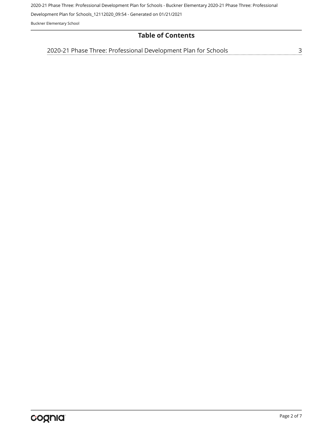2020-21 Phase Three: Professional Development Plan for Schools - Buckner Elementary 2020-21 Phase Three: Professional

Development Plan for Schools\_12112020\_09:54 - Generated on 01/21/2021

Buckner Elementary School

## **Table of Contents**

[2020-21 Phase Three: Professional Development Plan for Schools](#page-2-0)[3](#page-2-0)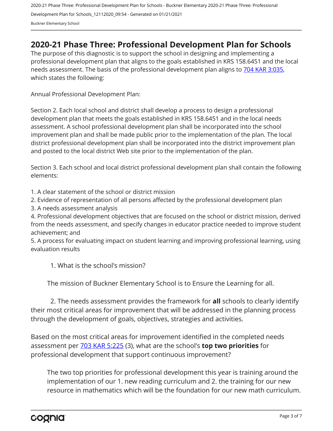## <span id="page-2-0"></span>**2020-21 Phase Three: Professional Development Plan for Schools**

The purpose of this diagnostic is to support the school in designing and implementing a professional development plan that aligns to the goals established in KRS 158.6451 and the local needs assessment. The basis of the professional development plan aligns to [704 KAR 3:035,](https://apps.legislature.ky.gov/Law/kar/704/003/035.pdf) which states the following:

Annual Professional Development Plan:

Section 2. Each local school and district shall develop a process to design a professional development plan that meets the goals established in KRS 158.6451 and in the local needs assessment. A school professional development plan shall be incorporated into the school improvement plan and shall be made public prior to the implementation of the plan. The local district professional development plan shall be incorporated into the district improvement plan and posted to the local district Web site prior to the implementation of the plan.

Section 3. Each school and local district professional development plan shall contain the following elements:

1. A clear statement of the school or district mission

2. Evidence of representation of all persons affected by the professional development plan

3. A needs assessment analysis

4. Professional development objectives that are focused on the school or district mission, derived from the needs assessment, and specify changes in educator practice needed to improve student achievement; and

5. A process for evaluating impact on student learning and improving professional learning, using evaluation results

1. What is the school's mission?

The mission of Buckner Elementary School is to Ensure the Learning for all.

2. The needs assessment provides the framework for **all** schools to clearly identify their most critical areas for improvement that will be addressed in the planning process through the development of goals, objectives, strategies and activities.

Based on the most critical areas for improvement identified in the completed needs assessment per [703 KAR 5:225](https://apps.legislature.ky.gov/law/kar/703/005/225.pdf) (3), what are the school's **top two priorities** for professional development that support continuous improvement?

The two top priorities for professional development this year is training around the implementation of our 1. new reading curriculum and 2. the training for our new resource in mathematics which will be the foundation for our new math curriculum.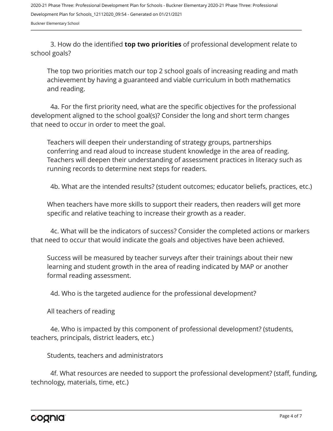3. How do the identified **top two priorities** of professional development relate to school goals?

The top two priorities match our top 2 school goals of increasing reading and math achievement by having a guaranteed and viable curriculum in both mathematics and reading.

4a. For the first priority need, what are the specific objectives for the professional development aligned to the school goal(s)? Consider the long and short term changes that need to occur in order to meet the goal.

Teachers will deepen their understanding of strategy groups, partnerships conferring and read aloud to increase student knowledge in the area of reading. Teachers will deepen their understanding of assessment practices in literacy such as running records to determine next steps for readers.

4b. What are the intended results? (student outcomes; educator beliefs, practices, etc.)

When teachers have more skills to support their readers, then readers will get more specific and relative teaching to increase their growth as a reader.

4c. What will be the indicators of success? Consider the completed actions or markers that need to occur that would indicate the goals and objectives have been achieved.

Success will be measured by teacher surveys after their trainings about their new learning and student growth in the area of reading indicated by MAP or another formal reading assessment.

4d. Who is the targeted audience for the professional development?

All teachers of reading

4e. Who is impacted by this component of professional development? (students, teachers, principals, district leaders, etc.)

Students, teachers and administrators

4f. What resources are needed to support the professional development? (staff, funding, technology, materials, time, etc.)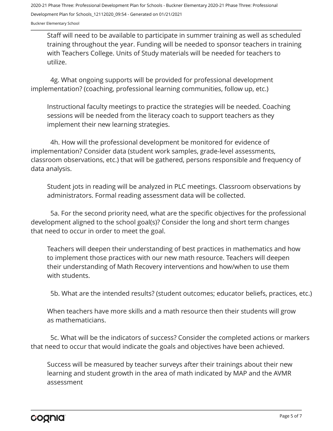Staff will need to be available to participate in summer training as well as scheduled training throughout the year. Funding will be needed to sponsor teachers in training with Teachers College. Units of Study materials will be needed for teachers to utilize.

4g. What ongoing supports will be provided for professional development implementation? (coaching, professional learning communities, follow up, etc.)

Instructional faculty meetings to practice the strategies will be needed. Coaching sessions will be needed from the literacy coach to support teachers as they implement their new learning strategies.

4h. How will the professional development be monitored for evidence of implementation? Consider data (student work samples, grade-level assessments, classroom observations, etc.) that will be gathered, persons responsible and frequency of data analysis.

Student jots in reading will be analyzed in PLC meetings. Classroom observations by administrators. Formal reading assessment data will be collected.

5a. For the second priority need, what are the specific objectives for the professional development aligned to the school goal(s)? Consider the long and short term changes that need to occur in order to meet the goal.

Teachers will deepen their understanding of best practices in mathematics and how to implement those practices with our new math resource. Teachers will deepen their understanding of Math Recovery interventions and how/when to use them with students.

5b. What are the intended results? (student outcomes; educator beliefs, practices, etc.)

When teachers have more skills and a math resource then their students will grow as mathematicians.

5c. What will be the indicators of success? Consider the completed actions or markers that need to occur that would indicate the goals and objectives have been achieved.

Success will be measured by teacher surveys after their trainings about their new learning and student growth in the area of math indicated by MAP and the AVMR assessment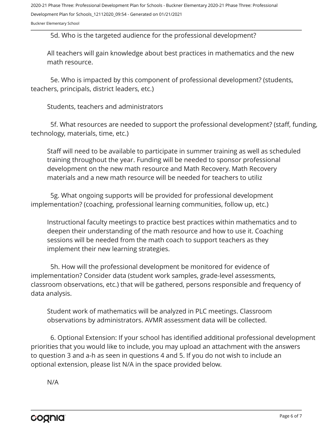5d. Who is the targeted audience for the professional development?

All teachers will gain knowledge about best practices in mathematics and the new math resource.

5e. Who is impacted by this component of professional development? (students, teachers, principals, district leaders, etc.)

Students, teachers and administrators

5f. What resources are needed to support the professional development? (staff, funding, technology, materials, time, etc.)

Staff will need to be available to participate in summer training as well as scheduled training throughout the year. Funding will be needed to sponsor professional development on the new math resource and Math Recovery. Math Recovery materials and a new math resource will be needed for teachers to utiliz

5g. What ongoing supports will be provided for professional development implementation? (coaching, professional learning communities, follow up, etc.)

Instructional faculty meetings to practice best practices within mathematics and to deepen their understanding of the math resource and how to use it. Coaching sessions will be needed from the math coach to support teachers as they implement their new learning strategies.

5h. How will the professional development be monitored for evidence of implementation? Consider data (student work samples, grade-level assessments, classroom observations, etc.) that will be gathered, persons responsible and frequency of data analysis.

Student work of mathematics will be analyzed in PLC meetings. Classroom observations by administrators. AVMR assessment data will be collected.

6. Optional Extension: If your school has identified additional professional development priorities that you would like to include, you may upload an attachment with the answers to question 3 and a-h as seen in questions 4 and 5. If you do not wish to include an optional extension, please list N/A in the space provided below.

N/A